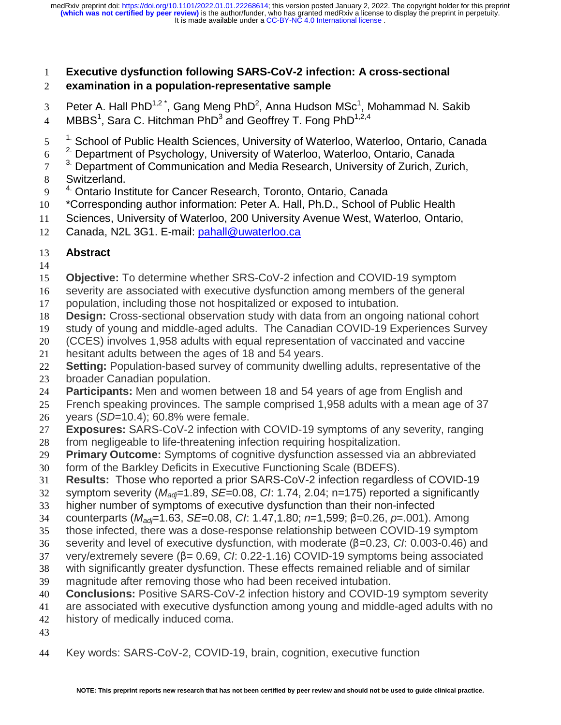# **Executive dysfunction following SARS-CoV-2 infection: A cross-sectional**

# **examination in a population-representative sample**

- 3 Peter A. Hall PhD<sup>1,2\*</sup>, Gang Meng PhD<sup>2</sup>, Anna Hudson MSc<sup>1</sup>, Mohammad N. Sakib
- 4 MBBS $^1$ , Sara C. Hitchman PhD $^3$  and Geoffrey T. Fong PhD $^{1,2,4}$
- 5<sup>1.</sup> School of Public Health Sciences, University of Waterloo, Waterloo, Ontario, Canada
- <sup>2</sup>. Department of Psychology, University of Waterloo, Waterloo, Ontario, Canada

 $3<sup>3</sup>$  Department of Communication and Media Research, University of Zurich, Zurich,

- Switzerland.
- 9 <sup>4.</sup> Ontario Institute for Cancer Research, Toronto, Ontario, Canada
- \*Corresponding author information: Peter A. Hall, Ph.D., School of Public Health
- Sciences, University of Waterloo, 200 University Avenue West, Waterloo, Ontario,
- Canada, N2L 3G1. E-mail: pahall@uwaterloo.ca

# **Abstract**

- 
- **Objective:** To determine whether SRS-CoV-2 infection and COVID-19 symptom
- severity are associated with executive dysfunction among members of the general
- population, including those not hospitalized or exposed to intubation.
- **Design:** Cross-sectional observation study with data from an ongoing national cohort
- study of young and middle-aged adults. The Canadian COVID-19 Experiences Survey
- (CCES) involves 1,958 adults with equal representation of vaccinated and vaccine
- hesitant adults between the ages of 18 and 54 years.
- **Setting:** Population-based survey of community dwelling adults, representative of the
- broader Canadian population.
- **Participants:** Men and women between 18 and 54 years of age from English and
- French speaking provinces. The sample comprised 1,958 adults with a mean age of 37 years (*SD*=10.4); 60.8% were female.
- **Exposures:** SARS-CoV-2 infection with COVID-19 symptoms of any severity, ranging
- from negligeable to life-threatening infection requiring hospitalization.
- **Primary Outcome:** Symptoms of cognitive dysfunction assessed via an abbreviated
- form of the Barkley Deficits in Executive Functioning Scale (BDEFS).
- **Results:** Those who reported a prior SARS-CoV-2 infection regardless of COVID-19
- symptom severity (*Madj*=1.89, *SE*=0.08, *CI*: 1.74, 2.04; n=175) reported a significantly
- higher number of symptoms of executive dysfunction than their non-infected
- counterparts (*Madj*=1.63, *SE*=0.08, *CI*: 1.47,1.80; *n*=1,599; β=0.26, *p*=.001). Among
- those infected, there was a dose-response relationship between COVID-19 symptom
- 36 severity and level of executive dysfunction, with moderate (β=0.23, *CI*: 0.003-0.46) and<br>37 verv/extremely severe (β= 0.69, *CI*: 0.22-1.16) COVID-19 symptoms being associated
- 37 very/extremely severe (β= 0.69, *CI*: 0.22-1.16) COVID-19 symptoms being associated<br>38 with significantly greater dysfunction. These effects remained reliable and of similar
- with significantly greater dysfunction. These effects remained reliable and of similar
- magnitude after removing those who had been received intubation.
- **Conclusions:** Positive SARS-CoV-2 infection history and COVID-19 symptom severity
- are associated with executive dysfunction among young and middle-aged adults with no
- history of medically induced coma.
- 
- Key words: SARS-CoV-2, COVID-19, brain, cognition, executive function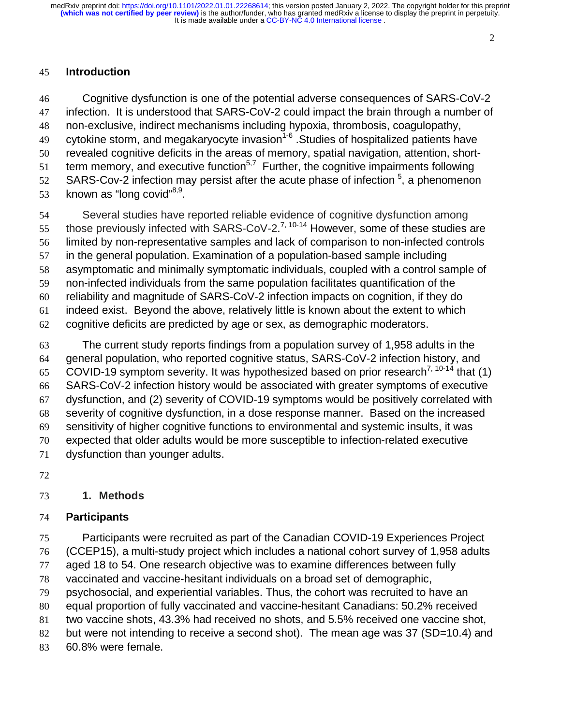#### 

## **Introduction**

Cognitive dysfunction is one of the potential adverse consequences of SARS-CoV-2 infection. It is understood that SARS-CoV-2 could impact the brain through a number of non-exclusive, indirect mechanisms including hypoxia, thrombosis, coagulopathy, 49 cytokine storm, and megakaryocyte invasion<sup>1-6</sup> .Studies of hospitalized patients have revealed cognitive deficits in the areas of memory, spatial navigation, attention, short-51 term memory, and executive function<sup>5,7</sup> Further, the cognitive impairments following S2 SARS-Cov-2 infection may persist after the acute phase of infection , a phenomenon 53 known as "long covid" $8,9$ .

Several studies have reported reliable evidence of cognitive dysfunction among 55 those previously infected with SARS-CoV-2.<sup>7, 10-14</sup> However, some of these studies are limited by non-representative samples and lack of comparison to non-infected controls in the general population. Examination of a population-based sample including asymptomatic and minimally symptomatic individuals, coupled with a control sample of non-infected individuals from the same population facilitates quantification of the reliability and magnitude of SARS-CoV-2 infection impacts on cognition, if they do indeed exist. Beyond the above, relatively little is known about the extent to which cognitive deficits are predicted by age or sex, as demographic moderators.

The current study reports findings from a population survey of 1,958 adults in the general population, who reported cognitive status, SARS-CoV-2 infection history, and 65 COVID-19 symptom severity. It was hypothesized based on prior research<sup>7, 10-14</sup> that (1) SARS-CoV-2 infection history would be associated with greater symptoms of executive dysfunction, and (2) severity of COVID-19 symptoms would be positively correlated with severity of cognitive dysfunction, in a dose response manner. Based on the increased sensitivity of higher cognitive functions to environmental and systemic insults, it was expected that older adults would be more susceptible to infection-related executive dysfunction than younger adults.

#### **1. Methods**

#### **Participants**

Participants were recruited as part of the Canadian COVID-19 Experiences Project

(CCEP15), a multi-study project which includes a national cohort survey of 1,958 adults

aged 18 to 54. One research objective was to examine differences between fully

vaccinated and vaccine-hesitant individuals on a broad set of demographic,

psychosocial, and experiential variables. Thus, the cohort was recruited to have an

equal proportion of fully vaccinated and vaccine-hesitant Canadians: 50.2% received

two vaccine shots, 43.3% had received no shots, and 5.5% received one vaccine shot,

82 but were not intending to receive a second shot). The mean age was 37 (SD=10.4) and

60.8% were female.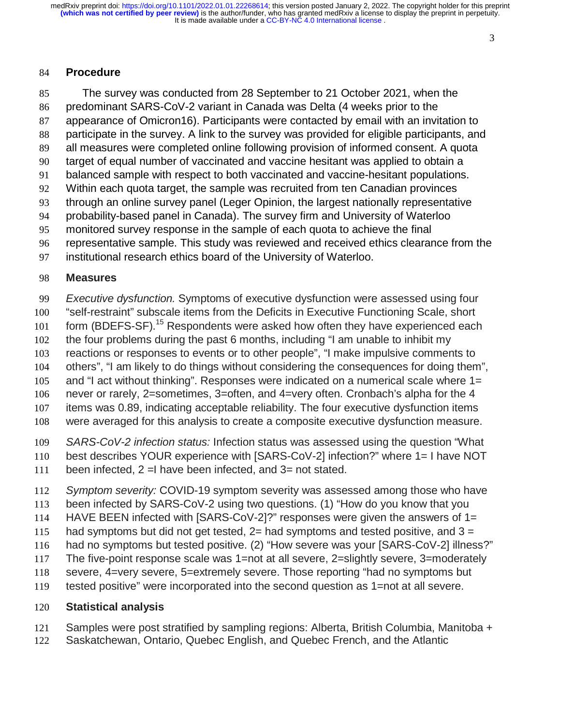#### 

### **Procedure**

The survey was conducted from 28 September to 21 October 2021, when the predominant SARS-CoV-2 variant in Canada was Delta (4 weeks prior to the appearance of Omicron16). Participants were contacted by email with an invitation to participate in the survey. A link to the survey was provided for eligible participants, and all measures were completed online following provision of informed consent. A quota target of equal number of vaccinated and vaccine hesitant was applied to obtain a balanced sample with respect to both vaccinated and vaccine-hesitant populations. Within each quota target, the sample was recruited from ten Canadian provinces through an online survey panel (Leger Opinion, the largest nationally representative probability-based panel in Canada). The survey firm and University of Waterloo monitored survey response in the sample of each quota to achieve the final representative sample. This study was reviewed and received ethics clearance from the institutional research ethics board of the University of Waterloo.

#### **Measures**

*Executive dysfunction.* Symptoms of executive dysfunction were assessed using four

"self-restraint" subscale items from the Deficits in Executive Functioning Scale, short

101 form (BDEFS-SF).<sup>15</sup> Respondents were asked how often they have experienced each

the four problems during the past 6 months, including "I am unable to inhibit my

reactions or responses to events or to other people", "I make impulsive comments to

others", "I am likely to do things without considering the consequences for doing them",

and "I act without thinking". Responses were indicated on a numerical scale where 1= never or rarely, 2=sometimes, 3=often, and 4=very often. Cronbach's alpha for the 4

items was 0.89, indicating acceptable reliability. The four executive dysfunction items

were averaged for this analysis to create a composite executive dysfunction measure.

*SARS-CoV-2 infection status:* Infection status was assessed using the question "What

best describes YOUR experience with [SARS-CoV-2] infection?" where 1= I have NOT

been infected, 2 =I have been infected, and 3= not stated.

*Symptom severity:* COVID-19 symptom severity was assessed among those who have

been infected by SARS-CoV-2 using two questions. (1) "How do you know that you

HAVE BEEN infected with [SARS-CoV-2]?" responses were given the answers of 1=

115 had symptoms but did not get tested,  $2=$  had symptoms and tested positive, and  $3=$ 

had no symptoms but tested positive. (2) "How severe was your [SARS-CoV-2] illness?"

The five-point response scale was 1=not at all severe, 2=slightly severe, 3=moderately

severe, 4=very severe, 5=extremely severe. Those reporting "had no symptoms but

tested positive" were incorporated into the second question as 1=not at all severe.

# **Statistical analysis**

Samples were post stratified by sampling regions: Alberta, British Columbia, Manitoba +

Saskatchewan, Ontario, Quebec English, and Quebec French, and the Atlantic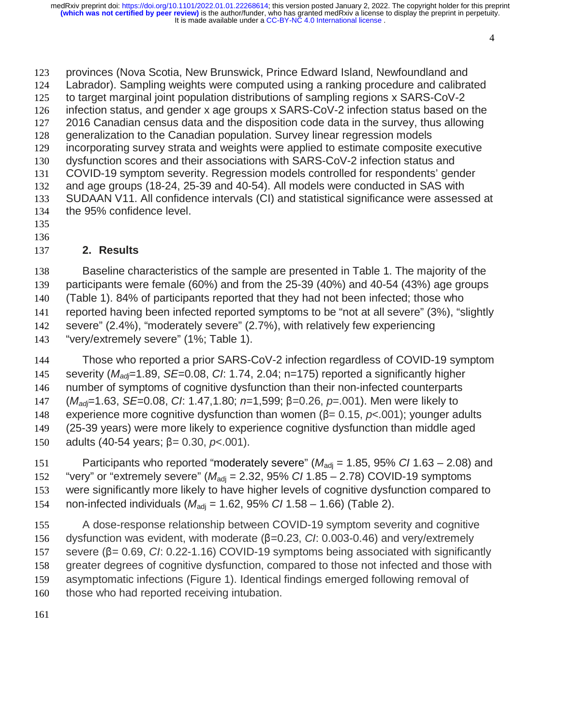provinces (Nova Scotia, New Brunswick, Prince Edward Island, Newfoundland and Labrador). Sampling weights were computed using a ranking procedure and calibrated to target marginal joint population distributions of sampling regions x SARS-CoV-2 infection status, and gender x age groups x SARS-CoV-2 infection status based on the 2016 Canadian census data and the disposition code data in the survey, thus allowing generalization to the Canadian population. Survey linear regression models incorporating survey strata and weights were applied to estimate composite executive dysfunction scores and their associations with SARS-CoV-2 infection status and COVID-19 symptom severity. Regression models controlled for respondents' gender and age groups (18-24, 25-39 and 40-54). All models were conducted in SAS with SUDAAN V11. All confidence intervals (CI) and statistical significance were assessed at the 95% confidence level.

- 
- 

# **2. Results**

Baseline characteristics of the sample are presented in Table 1. The majority of the participants were female (60%) and from the 25-39 (40%) and 40-54 (43%) age groups (Table 1). 84% of participants reported that they had not been infected; those who reported having been infected reported symptoms to be "not at all severe" (3%), "slightly severe" (2.4%), "moderately severe" (2.7%), with relatively few experiencing "very/extremely severe" (1%; Table 1).

Those who reported a prior SARS-CoV-2 infection regardless of COVID-19 symptom severity (*Madj*=1.89, *SE*=0.08, *CI*: 1.74, 2.04; n=175) reported a significantly higher number of symptoms of cognitive dysfunction than their non-infected counterparts 147 (*M<sub>adj</sub>*=1.63, *SE*=0.08, *CI*: 1.47,1.80; *n*=1,599; β=0.26, *p*=.001). Men were likely to<br>148 experience more cognitive dysfunction than women (β= 0.15, *p*<.001); younger ad the experience more cognitive dysfunction than women ( $β = 0.15$ ,  $plt; .001$ ); younger adults (25-39 years) were more likely to experience cognitive dysfunction than middle aged (25-39 years) were more likely to experience cognitive dysfunction than middle aged 150 adults (40-54 years; β= 0.30, *p*<.001).

151 Participants who reported "moderately severe"  $(M_{\text{adj}} = 1.85, 95\% \text{ C} / 1.63 - 2.08)$  and 152 "very" or "extremely severe" ( $M_{\text{adi}}$  = 2.32, 95% *CI* 1.85 – 2.78) COVID-19 symptoms were significantly more likely to have higher levels of cognitive dysfunction compared to 154 non-infected individuals  $(M_{\text{adi}} = 1.62, 95\% \text{ C} / 1.58 - 1.66)$  (Table 2).

A dose-response relationship between COVID-19 symptom severity and cognitive 156 dysfunction was evident, with moderate (β=0.23, *CI*: 0.003-0.46) and very/extremely<br>157 severe (β=0.69, *CI*: 0.22-1.16) COVID-19 symptoms being associated with significar 157 severe (β= 0.69, *CI*: 0.22-1.16) COVID-19 symptoms being associated with significantly<br>158 greater degrees of cognitive dysfunction, compared to those not infected and those with greater degrees of cognitive dysfunction, compared to those not infected and those with asymptomatic infections (Figure 1). Identical findings emerged following removal of 160 those who had reported receiving intubation.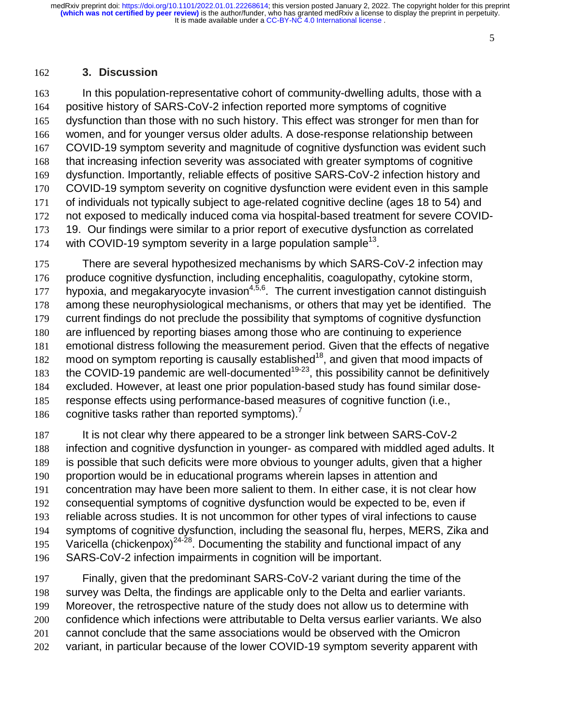#### 

### **3. Discussion**

In this population-representative cohort of community-dwelling adults, those with a positive history of SARS-CoV-2 infection reported more symptoms of cognitive dysfunction than those with no such history. This effect was stronger for men than for women, and for younger versus older adults. A dose-response relationship between COVID-19 symptom severity and magnitude of cognitive dysfunction was evident such that increasing infection severity was associated with greater symptoms of cognitive dysfunction. Importantly, reliable effects of positive SARS-CoV-2 infection history and COVID-19 symptom severity on cognitive dysfunction were evident even in this sample of individuals not typically subject to age-related cognitive decline (ages 18 to 54) and not exposed to medically induced coma via hospital-based treatment for severe COVID-19. Our findings were similar to a prior report of executive dysfunction as correlated 174 with COVID-19 symptom severity in a large population sample<sup>13</sup>.

There are several hypothesized mechanisms by which SARS-CoV-2 infection may produce cognitive dysfunction, including encephalitis, coagulopathy, cytokine storm, 177 hypoxia, and megakaryocyte invasion $4,5,6$ . The current investigation cannot distinguish among these neurophysiological mechanisms, or others that may yet be identified. The current findings do not preclude the possibility that symptoms of cognitive dysfunction are influenced by reporting biases among those who are continuing to experience emotional distress following the measurement period. Given that the effects of negative 182 mood on symptom reporting is causally established<sup>18</sup>, and given that mood impacts of 183 the COVID-19 pandemic are well-documented<sup>19-23</sup>, this possibility cannot be definitively excluded. However, at least one prior population-based study has found similar dose-response effects using performance-based measures of cognitive function (i.e., 186 cognitive tasks rather than reported symptoms).<sup>7</sup>

It is not clear why there appeared to be a stronger link between SARS-CoV-2 infection and cognitive dysfunction in younger- as compared with middled aged adults. It is possible that such deficits were more obvious to younger adults, given that a higher proportion would be in educational programs wherein lapses in attention and concentration may have been more salient to them. In either case, it is not clear how consequential symptoms of cognitive dysfunction would be expected to be, even if reliable across studies. It is not uncommon for other types of viral infections to cause symptoms of cognitive dysfunction, including the seasonal flu, herpes, MERS, Zika and 195 Varicella (chickenpox)<sup>24-28</sup>. Documenting the stability and functional impact of any SARS-CoV-2 infection impairments in cognition will be important.

Finally, given that the predominant SARS-CoV-2 variant during the time of the survey was Delta, the findings are applicable only to the Delta and earlier variants. Moreover, the retrospective nature of the study does not allow us to determine with confidence which infections were attributable to Delta versus earlier variants. We also cannot conclude that the same associations would be observed with the Omicron variant, in particular because of the lower COVID-19 symptom severity apparent with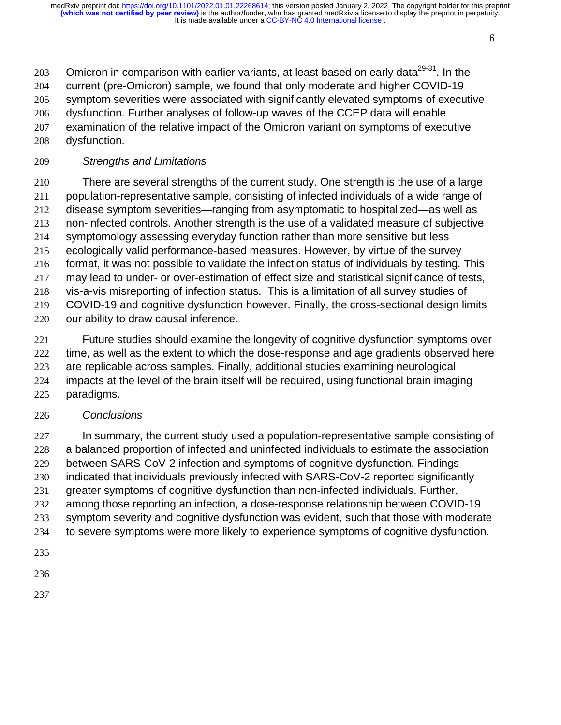203 Omicron in comparison with earlier variants, at least based on early data $29-31$ . In the current (pre-Omicron) sample, we found that only moderate and higher COVID-19 symptom severities were associated with significantly elevated symptoms of executive dysfunction. Further analyses of follow-up waves of the CCEP data will enable examination of the relative impact of the Omicron variant on symptoms of executive dysfunction.

## *Strengths and Limitations*

There are several strengths of the current study. One strength is the use of a large population-representative sample, consisting of infected individuals of a wide range of disease symptom severities—ranging from asymptomatic to hospitalized—as well as non-infected controls. Another strength is the use of a validated measure of subjective symptomology assessing everyday function rather than more sensitive but less ecologically valid performance-based measures. However, by virtue of the survey format, it was not possible to validate the infection status of individuals by testing. This may lead to under- or over-estimation of effect size and statistical significance of tests, vis-a-vis misreporting of infection status. This is a limitation of all survey studies of COVID-19 and cognitive dysfunction however. Finally, the cross-sectional design limits our ability to draw causal inference.

Future studies should examine the longevity of cognitive dysfunction symptoms over time, as well as the extent to which the dose-response and age gradients observed here are replicable across samples. Finally, additional studies examining neurological impacts at the level of the brain itself will be required, using functional brain imaging paradigms.

### *Conclusions*

227 In summary, the current study used a population-representative sample consisting of a balanced proportion of infected and uninfected individuals to estimate the association between SARS-CoV-2 infection and symptoms of cognitive dysfunction. Findings indicated that individuals previously infected with SARS-CoV-2 reported significantly greater symptoms of cognitive dysfunction than non-infected individuals. Further, among those reporting an infection, a dose-response relationship between COVID-19 symptom severity and cognitive dysfunction was evident, such that those with moderate to severe symptoms were more likely to experience symptoms of cognitive dysfunction. 

- 
-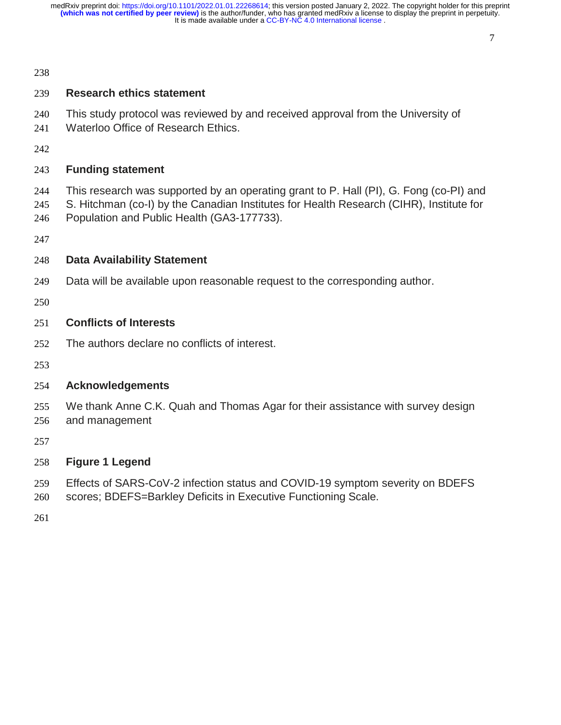#### 

#### 

#### **Research ethics statement**

- This study protocol was reviewed by and received approval from the University of
- Waterloo Office of Research Ethics.
- 

### **Funding statement**

- This research was supported by an operating grant to P. Hall (PI), G. Fong (co-PI) and
- S. Hitchman (co-I) by the Canadian Institutes for Health Research (CIHR), Institute for
- Population and Public Health (GA3-177733).
- 

### **Data Availability Statement**

- Data will be available upon reasonable request to the corresponding author.
- 

### **Conflicts of Interests**

- The authors declare no conflicts of interest.
- 

# **Acknowledgements**

- We thank Anne C.K. Quah and Thomas Agar for their assistance with survey design and management
- 

# **Figure 1 Legend**

- Effects of SARS-CoV-2 infection status and COVID-19 symptom severity on BDEFS
- scores; BDEFS=Barkley Deficits in Executive Functioning Scale.
-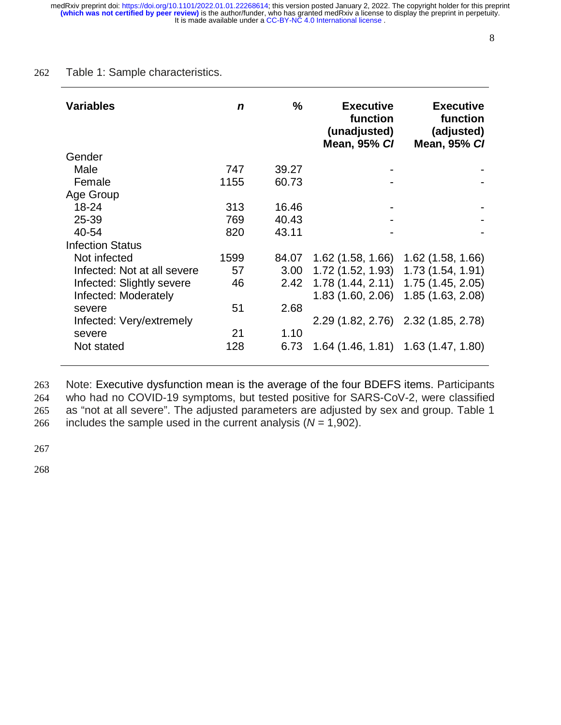#### 262 Table 1: Sample characteristics.

| <b>Variables</b>            | n    | %     | <b>Executive</b><br>function<br>(unadjusted)<br><b>Mean, 95% CI</b> | <b>Executive</b><br>function<br>(adjusted)<br><b>Mean, 95% CI</b> |
|-----------------------------|------|-------|---------------------------------------------------------------------|-------------------------------------------------------------------|
| Gender                      |      |       |                                                                     |                                                                   |
| Male                        | 747  | 39.27 |                                                                     |                                                                   |
| Female                      | 1155 | 60.73 |                                                                     |                                                                   |
| Age Group                   |      |       |                                                                     |                                                                   |
| 18-24                       | 313  | 16.46 |                                                                     |                                                                   |
| 25-39                       | 769  | 40.43 |                                                                     |                                                                   |
| 40-54                       | 820  | 43.11 |                                                                     |                                                                   |
| <b>Infection Status</b>     |      |       |                                                                     |                                                                   |
| Not infected                | 1599 | 84.07 | $1.62$ (1.58, 1.66)                                                 | $1.62$ (1.58, 1.66)                                               |
| Infected: Not at all severe | 57   | 3.00  | 1.72(1.52, 1.93)                                                    | 1.73(1.54, 1.91)                                                  |
| Infected: Slightly severe   | 46   | 2.42  | 1.78(1.44, 2.11)                                                    | 1.75 (1.45, 2.05)                                                 |
| Infected: Moderately        |      |       | 1.83 (1.60, 2.06)                                                   | 1.85 (1.63, 2.08)                                                 |
| severe                      | 51   | 2.68  |                                                                     |                                                                   |
| Infected: Very/extremely    |      |       |                                                                     | 2.29 (1.82, 2.76) 2.32 (1.85, 2.78)                               |
| severe                      | 21   | 1.10  |                                                                     |                                                                   |
| Not stated                  | 128  | 6.73  |                                                                     | $1.64$ (1.46, 1.81) 1.63 (1.47, 1.80)                             |

Note: Executive dysfunction mean is the average of the four BDEFS items. Participants who had no COVID-19 symptoms, but tested positive for SARS-CoV-2, were classified as "not at all severe". The adjusted parameters are adjusted by sex and group. Table 1 266 includes the sample used in the current analysis  $(N = 1,902)$ .

267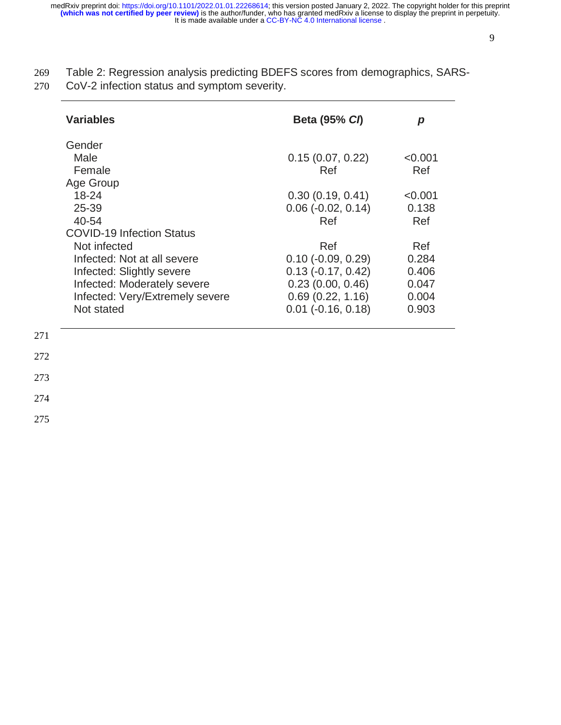- 269 Table 2: Regression analysis predicting BDEFS scores from demographics, SARS-
- 270 CoV-2 infection status and symptom severity.

| <b>Variables</b>                 | <b>Beta (95% CI)</b>        | p       |
|----------------------------------|-----------------------------|---------|
| Gender                           |                             |         |
| Male                             | 0.15(0.07, 0.22)            | < 0.001 |
| Female                           | Ref                         | Ref     |
| Age Group                        |                             |         |
| $18 - 24$                        | 0.30(0.19, 0.41)            | < 0.001 |
| 25-39                            | $0.06$ ( $-0.02$ , $0.14$ ) | 0.138   |
| 40-54                            | Ref                         | Ref     |
| <b>COVID-19 Infection Status</b> |                             |         |
| Not infected                     | Ref                         | Ref     |
| Infected: Not at all severe      | $0.10$ ( $-0.09$ , $0.29$ ) | 0.284   |
| Infected: Slightly severe        | $0.13$ ( $-0.17$ , $0.42$ ) | 0.406   |
| Infected: Moderately severe      | 0.23(0.00, 0.46)            | 0.047   |
| Infected: Very/Extremely severe  | 0.69(0.22, 1.16)            | 0.004   |
| Not stated                       | $0.01$ ( $-0.16$ , $0.18$ ) | 0.903   |
|                                  |                             |         |
|                                  |                             |         |
|                                  |                             |         |
|                                  |                             |         |

272 273

- 274
- 275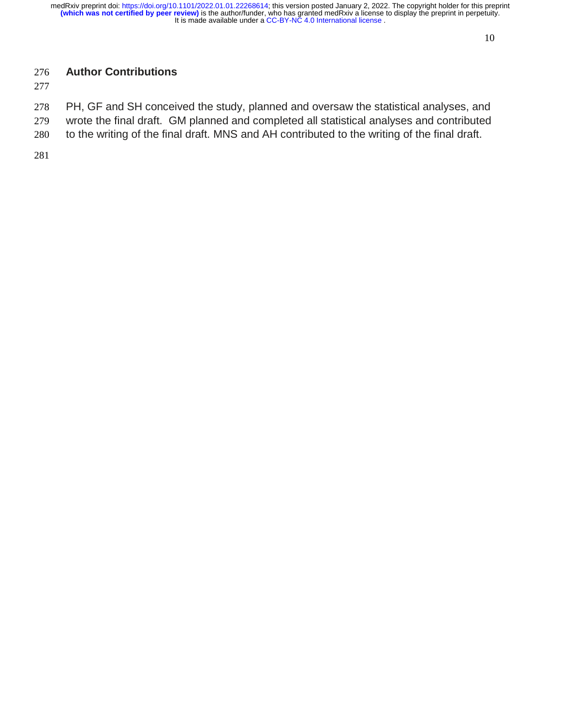# **Author Contributions**

PH, GF and SH conceived the study, planned and oversaw the statistical analyses, and wrote the final draft. GM planned and completed all statistical analyses and contributed

to the writing of the final draft. MNS and AH contributed to the writing of the final draft.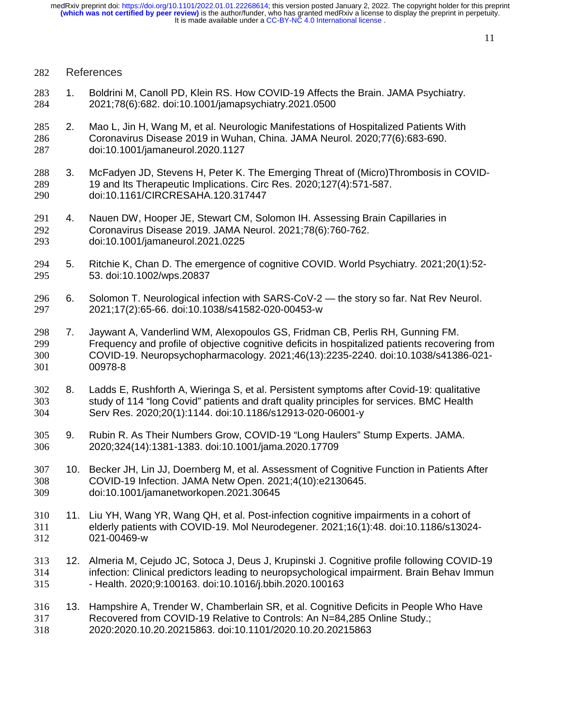#### References

- 1. Boldrini M, Canoll PD, Klein RS. How COVID-19 Affects the Brain. JAMA Psychiatry. 2021;78(6):682. doi:10.1001/jamapsychiatry.2021.0500
- 2. Mao L, Jin H, Wang M, et al. Neurologic Manifestations of Hospitalized Patients With Coronavirus Disease 2019 in Wuhan, China. JAMA Neurol. 2020;77(6):683-690. doi:10.1001/jamaneurol.2020.1127
- 3. McFadyen JD, Stevens H, Peter K. The Emerging Threat of (Micro)Thrombosis in COVID-19 and Its Therapeutic Implications. Circ Res. 2020;127(4):571-587. doi:10.1161/CIRCRESAHA.120.317447
- 4. Nauen DW, Hooper JE, Stewart CM, Solomon IH. Assessing Brain Capillaries in Coronavirus Disease 2019. JAMA Neurol. 2021;78(6):760-762. doi:10.1001/jamaneurol.2021.0225
- 5. Ritchie K, Chan D. The emergence of cognitive COVID. World Psychiatry. 2021;20(1):52- 53. doi:10.1002/wps.20837
- 6. Solomon T. Neurological infection with SARS-CoV-2 the story so far. Nat Rev Neurol. 2021;17(2):65-66. doi:10.1038/s41582-020-00453-w
- 7. Jaywant A, Vanderlind WM, Alexopoulos GS, Fridman CB, Perlis RH, Gunning FM. Frequency and profile of objective cognitive deficits in hospitalized patients recovering from COVID-19. Neuropsychopharmacology. 2021;46(13):2235-2240. doi:10.1038/s41386-021- 00978-8
- 8. Ladds E, Rushforth A, Wieringa S, et al. Persistent symptoms after Covid-19: qualitative study of 114 "long Covid" patients and draft quality principles for services. BMC Health Serv Res. 2020;20(1):1144. doi:10.1186/s12913-020-06001-y
- 9. Rubin R. As Their Numbers Grow, COVID-19 "Long Haulers" Stump Experts. JAMA. 2020;324(14):1381-1383. doi:10.1001/jama.2020.17709
- 10. Becker JH, Lin JJ, Doernberg M, et al. Assessment of Cognitive Function in Patients After COVID-19 Infection. JAMA Netw Open. 2021;4(10):e2130645. doi:10.1001/jamanetworkopen.2021.30645
- 11. Liu YH, Wang YR, Wang QH, et al. Post-infection cognitive impairments in a cohort of elderly patients with COVID-19. Mol Neurodegener. 2021;16(1):48. doi:10.1186/s13024- 021-00469-w
- 12. Almeria M, Cejudo JC, Sotoca J, Deus J, Krupinski J. Cognitive profile following COVID-19 infection: Clinical predictors leading to neuropsychological impairment. Brain Behav Immun - Health. 2020;9:100163. doi:10.1016/j.bbih.2020.100163
- 13. Hampshire A, Trender W, Chamberlain SR, et al. Cognitive Deficits in People Who Have Recovered from COVID-19 Relative to Controls: An N=84,285 Online Study.; 2020:2020.10.20.20215863. doi:10.1101/2020.10.20.20215863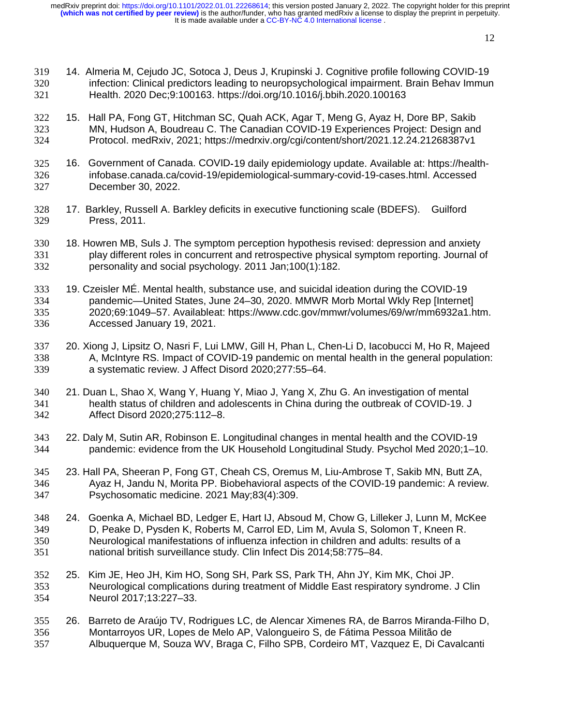- 14. Almeria M, Cejudo JC, Sotoca J, Deus J, Krupinski J. Cognitive profile following COVID-19 infection: Clinical predictors leading to neuropsychological impairment. Brain Behav Immun Health. 2020 Dec;9:100163. https://doi.org/10.1016/j.bbih.2020.100163
- 15. Hall PA, Fong GT, Hitchman SC, Quah ACK, Agar T, Meng G, Ayaz H, Dore BP, Sakib MN, Hudson A, Boudreau C. The Canadian COVID-19 Experiences Project: Design and Protocol. medRxiv, 2021; https://medrxiv.org/cgi/content/short/2021.12.24.21268387v1
- 325 16. Government of Canada. COVID-19 daily epidemiology update. Available at: https://health--19 daily epidemiology update. Available at: https://health-<br>idemiological-summary-covid-19-cases.html. Accessed<br>-infobase.canada.ca/covid-19/epidemiological-summary-covid-19-cases.html. Accessed December 30, 2022.
- 17. Barkley, Russell A. Barkley deficits in executive functioning scale (BDEFS). Guilford Press, 2011.
- 18. Howren MB, Suls J. The symptom perception hypothesis revised: depression and anxiety play different roles in concurrent and retrospective physical symptom reporting. Journal of personality and social psychology. 2011 Jan;100(1):182.
- 19. Czeisler MÉ. Mental health, substance use, and suicidal ideation during the COVID-19 pandemic—United States, June 24–30, 2020. MMWR Morb Mortal Wkly Rep [Internet] 2020;69:1049–57. Availableat: https://www.cdc.gov/mmwr/volumes/69/wr/mm6932a1.htm. Accessed January 19, 2021.
- 20. Xiong J, Lipsitz O, Nasri F, Lui LMW, Gill H, Phan L, Chen-Li D, Iacobucci M, Ho R, Majeed A, McIntyre RS. Impact of COVID-19 pandemic on mental health in the general population: a systematic review. J Affect Disord 2020;277:55–64.
- 21. Duan L, Shao X, Wang Y, Huang Y, Miao J, Yang X, Zhu G. An investigation of mental health status of children and adolescents in China during the outbreak of COVID-19. J Affect Disord 2020;275:112–8.
- 22. Daly M, Sutin AR, Robinson E. Longitudinal changes in mental health and the COVID-19 pandemic: evidence from the UK Household Longitudinal Study. Psychol Med 2020;1–10.
- 23. Hall PA, Sheeran P, Fong GT, Cheah CS, Oremus M, Liu-Ambrose T, Sakib MN, Butt ZA, Ayaz H, Jandu N, Morita PP. Biobehavioral aspects of the COVID-19 pandemic: A review. Psychosomatic medicine. 2021 May;83(4):309.
- 24. Goenka A, Michael BD, Ledger E, Hart IJ, Absoud M, Chow G, Lilleker J, Lunn M, McKee D, Peake D, Pysden K, Roberts M, Carrol ED, Lim M, Avula S, Solomon T, Kneen R. Neurological manifestations of influenza infection in children and adults: results of a national british surveillance study. Clin Infect Dis 2014;58:775–84.
- 25. Kim JE, Heo JH, Kim HO, Song SH, Park SS, Park TH, Ahn JY, Kim MK, Choi JP. Neurological complications during treatment of Middle East respiratory syndrome. J Clin Neurol 2017;13:227–33.
- 26. Barreto de Araújo TV, Rodrigues LC, de Alencar Ximenes RA, de Barros Miranda-Filho D, Montarroyos UR, Lopes de Melo AP, Valongueiro S, de Fátima Pessoa Militão de Albuquerque M, Souza WV, Braga C, Filho SPB, Cordeiro MT, Vazquez E, Di Cavalcanti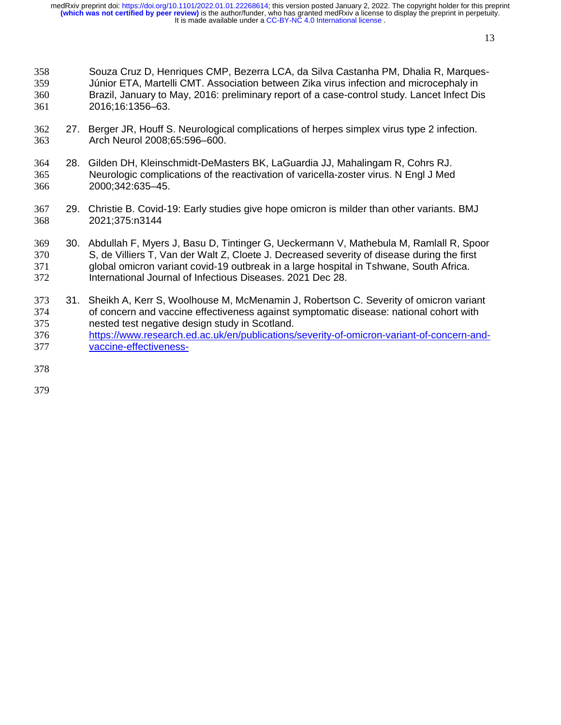- Souza Cruz D, Henriques CMP, Bezerra LCA, da Silva Castanha PM, Dhalia R, Marques-Júnior ETA, Martelli CMT. Association between Zika virus infection and microcephaly in Brazil, January to May, 2016: preliminary report of a case-control study. Lancet Infect Dis 2016;16:1356–63.
- 27. Berger JR, Houff S. Neurological complications of herpes simplex virus type 2 infection. Arch Neurol 2008;65:596–600.
- 28. Gilden DH, Kleinschmidt-DeMasters BK, LaGuardia JJ, Mahalingam R, Cohrs RJ. Neurologic complications of the reactivation of varicella-zoster virus. N Engl J Med 2000;342:635–45.
- 29. Christie B. Covid-19: Early studies give hope omicron is milder than other variants. BMJ 2021;375:n3144
- 30. Abdullah F, Myers J, Basu D, Tintinger G, Ueckermann V, Mathebula M, Ramlall R, Spoor S, de Villiers T, Van der Walt Z, Cloete J. Decreased severity of disease during the first global omicron variant covid-19 outbreak in a large hospital in Tshwane, South Africa. International Journal of Infectious Diseases. 2021 Dec 28.
- 31. Sheikh A, Kerr S, Woolhouse M, McMenamin J, Robertson C. Severity of omicron variant 374 of concern and vaccine effectiveness against symptomatic disease: national cohort with<br>375 externe ested test negative design study in Scotland. nested test negative design study in Scotland. https://www.research.ed.ac.uk/en/publications/severity-of-omicron-variant-of-concern-and-vaccine-effectiveness-
- 
- 
-